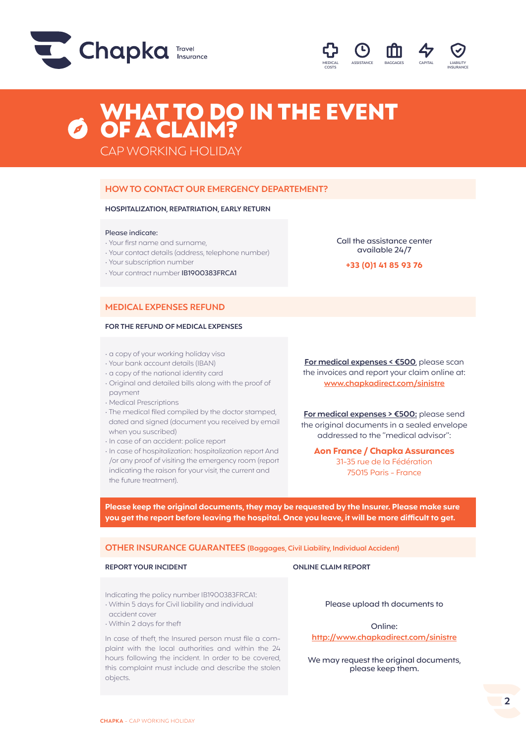



# WHAT TO DO IN THE EVENT OF A CLAIM?

CAP WORKING HOLIDAY

## **HOW TO CONTACT OUR EMERGENCY DEPARTEMENT?**

### **HOSPITALIZATION, REPATRIATION, EARLY RETURN**

#### Please indicate:

- Your first name and surname,
- Your contact details (address, telephone number)
- Your subscription number
- Your contract number IB1900383FRCA1

**MEDICAL EXPENSES REFUND** 

#### **FOR THE REFUND OF MEDICAL EXPENSES**

- a copy of your working holiday visa
- Your bank account details (IBAN)
- a copy of the national identity card
- Original and detailed bills along with the proof of payment
- Medical Prescriptions
- The medical filed compiled by the doctor stamped, dated and signed (document you received by email when you suscribed)
- In case of an accident: police report
- In case of hospitalization: hospitalization report And /or any proof of visiting the emergency room (report indicating the raison for your visit, the current and the future treatment).

available 24/7 **+33 (0)1 41 85 93 76**

Call the assistance center

**For medical expenses < €500**, please scan the invoices and report your claim online at: **www.chapkadirect.com/sinistre**

**For medical expenses > €500:** please send the original documents in a sealed envelope addressed to the "medical advisor":

**Aon France / Chapka Assurances** 31-35 rue de la Fédération 75015 Paris - France

**Please keep the original documents, they may be requested by the Insurer. Please make sure you get the report before leaving the hospital. Once you leave, it will be more difficult to get.**

**OTHER INSURANCE GUARANTEES (Baggages, Civil Liability, Individual Accident)**

#### **REPORT YOUR INCIDENT CLAIM REPORT**

Indicating the policy number IB1900383FRCA1:

- Within 5 days for Civil liability and individual accident cover
- Within 2 days for theft

In case of theft, the Insured person must file a complaint with the local authorities and within the 24 hours following the incident. In order to be covered, this complaint must include and describe the stolen objects.

Please upload th documents to

Online: **http://www.chapkadirect.com/sinistre**

We may request the original documents, please keep them.